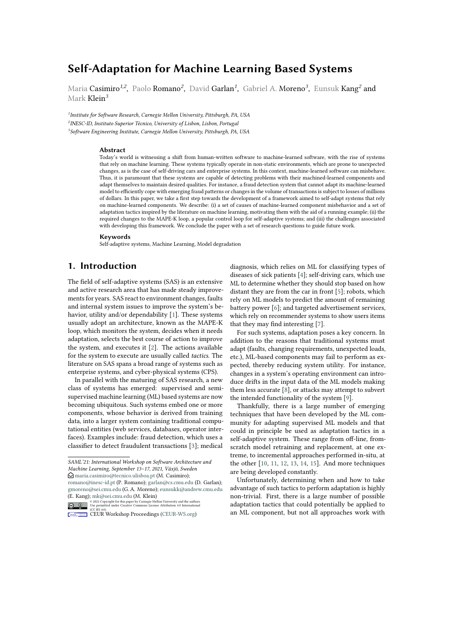# **Self-Adaptation for Machine Learning Based Systems**

Maria Casimiro<sup>1,2</sup>, Paolo Romano<sup>2</sup>, David Garlan<sup>1</sup>, Gabriel A. Moreno<sup>3</sup>, Eunsuk Kang<sup>2</sup> and Mark Klein*<sup>3</sup>*

*1 Institute for Software Research, Carnegie Mellon University, Pittsburgh, PA, USA 2 INESC-ID, Instituto Superior Técnico, University of Lisbon, Lisbon, Portugal 3 Software Engineering Institute, Carnegie Mellon University, Pittsburgh, PA, USA*

#### **Abstract**

Today's world is witnessing a shift from human-written software to machine-learned software, with the rise of systems that rely on machine learning. These systems typically operate in non-static environments, which are prone to unexpected changes, as is the case of self-driving cars and enterprise systems. In this context, machine-learned software can misbehave. Thus, it is paramount that these systems are capable of detecting problems with their machined-learned components and adapt themselves to maintain desired qualities. For instance, a fraud detection system that cannot adapt its machine-learned model to efficiently cope with emerging fraud patterns or changes in the volume of transactions is subject to losses of millions of dollars. In this paper, we take a first step towards the development of a framework aimed to self-adapt systems that rely on machine-learned components. We describe: (i) a set of causes of machine-learned component misbehavior and a set of adaptation tactics inspired by the literature on machine learning, motivating them with the aid of a running example; (ii) the required changes to the MAPE-K loop, a popular control loop for self-adaptive systems; and (iii) the challenges associated with developing this framework. We conclude the paper with a set of research questions to guide future work.

#### **Keywords**

Self-adaptive systems, Machine Learning, Model degradation

## **1. Introduction**

The field of self-adaptive systems (SAS) is an extensive and active research area that has made steady improvements for years. SAS react to environment changes, faults and internal system issues to improve the system's behavior, utility and/or dependability [\[1\]](#page-6-0). These systems usually adopt an architecture, known as the MAPE-K loop, which monitors the system, decides when it needs adaptation, selects the best course of action to improve the system, and executes it [\[2\]](#page-6-1). The actions available for the system to execute are usually called *tactics*. The literature on SAS spans a broad range of systems such as enterprise systems, and cyber-physical systems (CPS).

In parallel with the maturing of SAS research, a new class of systems has emerged: supervised and semisupervised machine learning (ML) based systems are now becoming ubiquitous. Such systems embed one or more components, whose behavior is derived from training data, into a larger system containing traditional computational entities (web services, databases, operator interfaces). Examples include: fraud detection, which uses a classifier to detect fraudulent transactions [\[3\]](#page-6-2); medical diagnosis, which relies on ML for classifying types of diseases of sick patients [\[4\]](#page-6-3); self-driving cars, which use ML to determine whether they should stop based on how distant they are from the car in front [\[5\]](#page-6-4); robots, which rely on ML models to predict the amount of remaining battery power [\[6\]](#page-6-5); and targeted advertisement services, which rely on recommender systems to show users items that they may find interesting [\[7\]](#page-6-6).

For such systems, adaptation poses a key concern. In addition to the reasons that traditional systems must adapt (faults, changing requirements, unexpected loads, etc.), ML-based components may fail to perform as expected, thereby reducing system utility. For instance, changes in a system's operating environment can introduce drifts in the input data of the ML models making them less accurate [\[8\]](#page-6-7), or attacks may attempt to subvert the intended functionality of the system [\[9\]](#page-6-8).

Thankfully, there is a large number of emerging techniques that have been developed by the ML community for adapting supervised ML models and that could in principle be used as adaptation tactics in a self-adaptive system. These range from off-line, fromscratch model retraining and replacement, at one extreme, to incremental approaches performed in-situ, at the other [\[10,](#page-6-9) [11,](#page-6-10) [12,](#page-6-11) [13,](#page-6-12) [14,](#page-6-13) [15\]](#page-6-14). And more techniques are being developed constantly.

Unfortunately, determining when and how to take advantage of such tactics to perform adaptation is highly non-trivial. First, there is a large number of possible adaptation tactics that could potentially be applied to an ML component, but not all approaches work with

*SAML'21: International Workshop on Software Architecture and Machine Learning, September 13–17, 2021, Växjö, Sweden*  $\bigcirc$  [maria.casimiro@tecnico.ulisboa.pt](mailto:maria.casimiro@tecnico.ulisboa.pt) (M. Casimiro); [romano@inesc-id.pt](mailto:romano@inesc-id.pt) (P. Romano); [garlan@cs.cmu.edu](mailto:garlan@cs.cmu.edu) (D. Garlan); [gmoreno@sei.cmu.edu](mailto:gmoreno@sei.cmu.edu) (G. A. Moreno); [eunsukk@andrew.cmu.edu](mailto:eunsukk@andrew.cmu.edu) (E. Kang); [mk@sei.cmu.edu](mailto:mk@sei.cmu.edu) (M. Klein)

<sup>©</sup> 2021 Copyright for this paper by Carnegie Mellon University and the authors. Use permitted under Creative Commons License Attribution 4.0 International (CC BY 4.0).

**CEUR Workshop [Proceedings](http://ceur-ws.org) [\(CEUR-WS.org\)](http://ceur-ws.org)**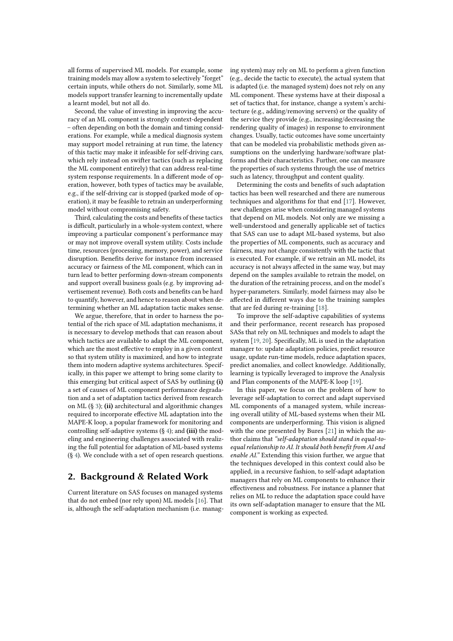all forms of supervised ML models. For example, some training models may allow a system to selectively "forget" certain inputs, while others do not. Similarly, some ML models support transfer learning to incrementally update a learnt model, but not all do.

Second, the value of investing in improving the accuracy of an ML component is strongly context-dependent – often depending on both the domain and timing considerations. For example, while a medical diagnosis system may support model retraining at run time, the latency of this tactic may make it infeasible for self-driving cars, which rely instead on swifter tactics (such as replacing the ML component entirely) that can address real-time system response requirements. In a different mode of operation, however, both types of tactics may be available, e.g., if the self-driving car is stopped (parked mode of operation), it may be feasible to retrain an underperforming model without compromising safety.

Third, calculating the costs and benefits of these tactics is difficult, particularly in a whole-system context, where improving a particular component's performance may or may not improve overall system utility. Costs include time, resources (processing, memory, power), and service disruption. Benefits derive for instance from increased accuracy or fairness of the ML component, which can in turn lead to better performing down-stream components and support overall business goals (e.g. by improving advertisement revenue). Both costs and benefits can be hard to quantify, however, and hence to reason about when determining whether an ML adaptation tactic makes sense.

We argue, therefore, that in order to harness the potential of the rich space of ML adaptation mechanisms, it is necessary to develop methods that can reason about which tactics are available to adapt the ML component, which are the most effective to employ in a given context so that system utility is maximized, and how to integrate them into modern adaptive systems architectures. Specifically, in this paper we attempt to bring some clarity to this emerging but critical aspect of SAS by outlining **(i)** a set of causes of ML component performance degradation and a set of adaptation tactics derived from research on ML (§ [3\)](#page-2-0); **(ii)** architectural and algorithmic changes required to incorporate effective ML adaptation into the MAPE-K loop, a popular framework for monitoring and controlling self-adaptive systems (§ [4\)](#page-4-0); and **(iii)** the modeling and engineering challenges associated with realizing the full potential for adaptation of ML-based systems (§ [4\)](#page-4-0). We conclude with a set of open research questions.

## **2. Background & Related Work**

Current literature on SAS focuses on managed systems that do not embed (nor rely upon) ML models [\[16\]](#page-7-0). That is, although the self-adaptation mechanism (i.e. managing system) may rely on ML to perform a given function (e.g., decide the tactic to execute), the actual system that is adapted (i.e. the managed system) does not rely on any ML component. These systems have at their disposal a set of tactics that, for instance, change a system's architecture (e.g., adding/removing servers) or the quality of the service they provide (e.g., increasing/decreasing the rendering quality of images) in response to environment changes. Usually, tactic outcomes have some uncertainty that can be modeled via probabilistic methods given assumptions on the underlying hardware/software platforms and their characteristics. Further, one can measure the properties of such systems through the use of metrics such as latency, throughput and content quality.

Determining the costs and benefits of such adaptation tactics has been well researched and there are numerous techniques and algorithms for that end [\[17\]](#page-7-1). However, new challenges arise when considering managed systems that depend on ML models. Not only are we missing a well-understood and generally applicable set of tactics that SAS can use to adapt ML-based systems, but also the properties of ML components, such as accuracy and fairness, may not change consistently with the tactic that is executed. For example, if we retrain an ML model, its accuracy is not always affected in the same way, but may depend on the samples available to retrain the model, on the duration of the retraining process, and on the model's hyper-parameters. Similarly, model fairness may also be affected in different ways due to the training samples that are fed during re-training [\[18\]](#page-7-2).

To improve the self-adaptive capabilities of systems and their performance, recent research has proposed SASs that rely on ML techniques and models to adapt the system [\[19,](#page-7-3) [20\]](#page-7-4). Specifically, ML is used in the adaptation manager to: update adaptation policies, predict resource usage, update run-time models, reduce adaptation spaces, predict anomalies, and collect knowledge. Additionally, learning is typically leveraged to improve the Analysis and Plan components of the MAPE-K loop [\[19\]](#page-7-3).

In this paper, we focus on the problem of how to leverage self-adaptation to correct and adapt supervised ML components of a managed system, while increasing overall utility of ML-based systems when their ML components are underperforming. This vision is aligned with the one presented by Bures [\[21\]](#page-7-5) in which the author claims that *"self-adaptation should stand in equal-toequal relationship to AI. It should both benefit from AI and enable AI."* Extending this vision further, we argue that the techniques developed in this context could also be applied, in a recursive fashion, to self-adapt adaptation managers that rely on ML components to enhance their effectiveness and robustness. For instance a planner that relies on ML to reduce the adaptation space could have its own self-adaptation manager to ensure that the ML component is working as expected.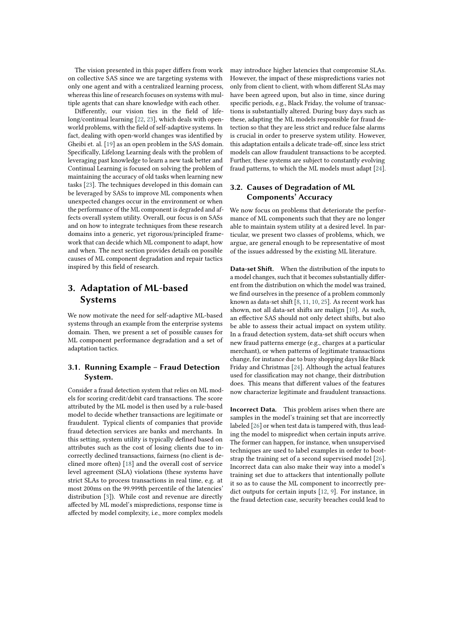The vision presented in this paper differs from work on collective SAS since we are targeting systems with only one agent and with a centralized learning process, whereas this line of research focuses on systems with multiple agents that can share knowledge with each other.

Differently, our vision ties in the field of lifelong/continual learning [\[22,](#page-7-6) [23\]](#page-7-7), which deals with openworld problems, with the field of self-adaptive systems. In fact, dealing with open-world changes was identified by Gheibi et. al. [\[19\]](#page-7-3) as an open problem in the SAS domain. Specifically, Lifelong Learning deals with the problem of leveraging past knowledge to learn a new task better and Continual Learning is focused on solving the problem of maintaining the accuracy of old tasks when learning new tasks [\[23\]](#page-7-7). The techniques developed in this domain can be leveraged by SASs to improve ML components when unexpected changes occur in the environment or when the performance of the ML component is degraded and affects overall system utility. Overall, our focus is on SASs and on how to integrate techniques from these research domains into a generic, yet rigorous/principled framework that can decide which ML component to adapt, how and when. The next section provides details on possible causes of ML component degradation and repair tactics inspired by this field of research.

# <span id="page-2-0"></span>**3. Adaptation of ML-based Systems**

We now motivate the need for self-adaptive ML-based systems through an example from the enterprise systems domain. Then, we present a set of possible causes for ML component performance degradation and a set of adaptation tactics.

## **3.1. Running Example – Fraud Detection System.**

Consider a fraud detection system that relies on ML models for scoring credit/debit card transactions. The score attributed by the ML model is then used by a rule-based model to decide whether transactions are legitimate or fraudulent. Typical clients of companies that provide fraud detection services are banks and merchants. In this setting, system utility is typically defined based on attributes such as the cost of losing clients due to incorrectly declined transactions, fairness (no client is declined more often) [\[18\]](#page-7-2) and the overall cost of service level agreement (SLA) violations (these systems have strict SLAs to process transactions in real time, e.g. at most 200ms on the 99.999th percentile of the latencies' distribution [\[3\]](#page-6-2)). While cost and revenue are directly affected by ML model's mispredictions, response time is affected by model complexity, i.e., more complex models

may introduce higher latencies that compromise SLAs. However, the impact of these mispredictions varies not only from client to client, with whom different SLAs may have been agreed upon, but also in time, since during specific periods, e.g., Black Friday, the volume of transactions is substantially altered. During busy days such as these, adapting the ML models responsible for fraud detection so that they are less strict and reduce false alarms is crucial in order to preserve system utility. However, this adaptation entails a delicate trade-off, since less strict models can allow fraudulent transactions to be accepted. Further, these systems are subject to constantly evolving fraud patterns, to which the ML models must adapt [\[24\]](#page-7-8).

### **3.2. Causes of Degradation of ML Components' Accuracy**

We now focus on problems that deteriorate the performance of ML components such that they are no longer able to maintain system utility at a desired level. In particular, we present two classes of problems, which, we argue, are general enough to be representative of most of the issues addressed by the existing ML literature.

**Data-set Shift.** When the distribution of the inputs to a model changes, such that it becomes substantially different from the distribution on which the model was trained, we find ourselves in the presence of a problem commonly known as data-set shift [\[8,](#page-6-7) [11,](#page-6-10) [10,](#page-6-9) [25\]](#page-7-9). As recent work has shown, not all data-set shifts are malign [\[10\]](#page-6-9). As such, an effective SAS should not only detect shifts, but also be able to assess their actual impact on system utility. In a fraud detection system, data-set shift occurs when new fraud patterns emerge (e.g., charges at a particular merchant), or when patterns of legitimate transactions change, for instance due to busy shopping days like Black Friday and Christmas [\[24\]](#page-7-8). Although the actual features used for classification may not change, their distribution does. This means that different values of the features now characterize legitimate and fraudulent transactions.

**Incorrect Data.** This problem arises when there are samples in the model's training set that are incorrectly labeled [\[26\]](#page-7-10) or when test data is tampered with, thus leading the model to mispredict when certain inputs arrive. The former can happen, for instance, when unsupervised techniques are used to label examples in order to bootstrap the training set of a second supervised model [\[26\]](#page-7-10). Incorrect data can also make their way into a model's training set due to attackers that intentionally pollute it so as to cause the ML component to incorrectly predict outputs for certain inputs [\[12,](#page-6-11) [9\]](#page-6-8). For instance, in the fraud detection case, security breaches could lead to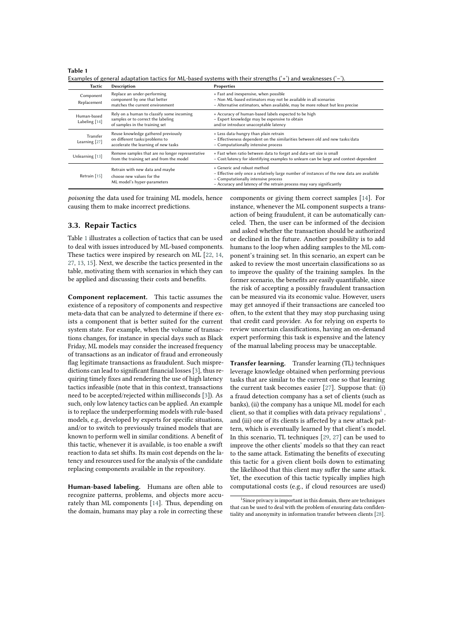| <b>Tactic</b>                | Description                                                                                                       | Properties                                                                                                                                                                                                                               |
|------------------------------|-------------------------------------------------------------------------------------------------------------------|------------------------------------------------------------------------------------------------------------------------------------------------------------------------------------------------------------------------------------------|
| Component<br>Replacement     | Replace an under-performing<br>component by one that better<br>matches the current environment                    | + Fast and inexpensive, when possible<br>- Non ML-based estimators may not be available in all scenarios<br>- Alternative estimators, when available, may be more robust but less precise                                                |
| Human-based<br>Labeling [14] | Rely on a human to classify some incoming<br>samples or to correct the labeling<br>of samples in the training set | + Accuracy of human-based labels expected to be high<br>- Expert knowledge may be expensive to obtain<br>and/or introduce unacceptable latency                                                                                           |
| Transfer<br>Learning [27]    | Reuse knowledge gathered previously<br>on different tasks/problems to<br>accelerate the learning of new tasks     | + Less data-hungry than plain retrain<br>- Effectiveness dependent on the similarities between old and new tasks/data<br>- Computationally intensive process                                                                             |
| Unlearning [13]              | Remove samples that are no longer representative<br>from the training set and from the model                      | + Fast when ratio between data to forget and data-set size is small<br>- Cost/latency for identifying examples to unlearn can be large and context-dependent                                                                             |
| Retrain [15]                 | Retrain with new data and maybe<br>choose new values for the<br>ML model's hyper-parameters                       | + Generic and robust method<br>- Effective only once a relatively large number of instances of the new data are available<br>- Computationally intensive process<br>- Accuracy and latency of the retrain process may vary significantly |

<span id="page-3-0"></span>**Table 1** Examples of general adaptation tactics for ML-based systems with their strengths ('**+**') and weaknesses ('**–**').

*poisoning* the data used for training ML models, hence causing them to make incorrect predictions.

### **3.3. Repair Tactics**

Table [1](#page-3-0) illustrates a collection of tactics that can be used to deal with issues introduced by ML-based components. These tactics were inspired by research on ML [\[22,](#page-7-6) [14,](#page-6-13) [27,](#page-7-11) [13,](#page-6-12) [15\]](#page-6-14). Next, we describe the tactics presented in the table, motivating them with scenarios in which they can be applied and discussing their costs and benefits.

**Component replacement.** This tactic assumes the existence of a repository of components and respective meta-data that can be analyzed to determine if there exists a component that is better suited for the current system state. For example, when the volume of transactions changes, for instance in special days such as Black Friday, ML models may consider the increased frequency of transactions as an indicator of fraud and erroneously flag legitimate transactions as fraudulent. Such mispredictions can lead to significant financial losses [\[3\]](#page-6-2), thus requiring timely fixes and rendering the use of high latency tactics infeasible (note that in this context, transactions need to be accepted/rejected within milliseconds [\[3\]](#page-6-2)). As such, only low latency tactics can be applied. An example is to replace the underperforming models with rule-based models, e.g., developed by experts for specific situations, and/or to switch to previously trained models that are known to perform well in similar conditions. A benefit of this tactic, whenever it is available, is too enable a swift reaction to data set shifts. Its main cost depends on the latency and resources used for the analysis of the candidate replacing components available in the repository.

**Human-based labeling.** Humans are often able to recognize patterns, problems, and objects more accurately than ML components [\[14\]](#page-6-13). Thus, depending on the domain, humans may play a role in correcting these components or giving them correct samples [\[14\]](#page-6-13). For instance, whenever the ML component suspects a transaction of being fraudulent, it can be automatically canceled. Then, the user can be informed of the decision and asked whether the transaction should be authorized or declined in the future. Another possibility is to add humans to the loop when adding samples to the ML component's training set. In this scenario, an expert can be asked to review the most uncertain classifications so as to improve the quality of the training samples. In the former scenario, the benefits are easily quantifiable, since the risk of accepting a possibly fraudulent transaction can be measured via its economic value. However, users may get annoyed if their transactions are canceled too often, to the extent that they may stop purchasing using that credit card provider. As for relying on experts to review uncertain classifications, having an on-demand expert performing this task is expensive and the latency of the manual labeling process may be unacceptable.

**Transfer learning.** Transfer learning (TL) techniques leverage knowledge obtained when performing previous tasks that are similar to the current one so that learning the current task becomes easier [\[27\]](#page-7-11). Suppose that: (i) a fraud detection company has a set of clients (such as banks), (ii) the company has a unique ML model for each client, so that it complies with data privacy regulations<sup>[1](#page-3-1)</sup>, and (iii) one of its clients is affected by a new attack pattern, which is eventually learned by that client's model. In this scenario, TL techniques [\[29,](#page-7-12) [27\]](#page-7-11) can be used to improve the other clients' models so that they can react to the same attack. Estimating the benefits of executing this tactic for a given client boils down to estimating the likelihood that this client may suffer the same attack. Yet, the execution of this tactic typically implies high computational costs (e.g., if cloud resources are used)

<span id="page-3-1"></span><sup>1</sup> Since privacy is important in this domain, there are techniques that can be used to deal with the problem of ensuring data confidentiality and anonymity in information transfer between clients [\[28\]](#page-7-13).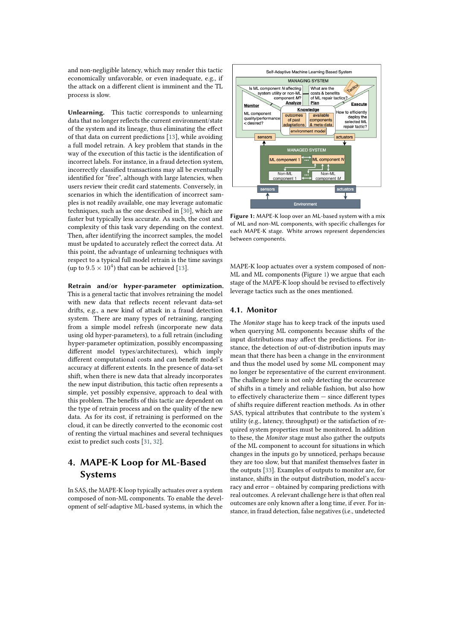and non-negligible latency, which may render this tactic economically unfavorable, or even inadequate, e.g., if the attack on a different client is imminent and the TL process is slow.

**Unlearning.** This tactic corresponds to unlearning data that no longer reflects the current environment/state of the system and its lineage, thus eliminating the effect of that data on current predictions [\[13\]](#page-6-12), while avoiding a full model retrain. A key problem that stands in the way of the execution of this tactic is the identification of incorrect labels. For instance, in a fraud detection system, incorrectly classified transactions may all be eventually identified for "free", although with large latencies, when users review their credit card statements. Conversely, in scenarios in which the identification of incorrect samples is not readily available, one may leverage automatic techniques, such as the one described in [\[30\]](#page-7-14), which are faster but typically less accurate. As such, the cost and complexity of this task vary depending on the context. Then, after identifying the incorrect samples, the model must be updated to accurately reflect the correct data. At this point, the advantage of unlearning techniques with respect to a typical full model retrain is the time savings (up to  $9.5 \times 10^4$ ) that can be achieved [\[13\]](#page-6-12).

**Retrain and/or hyper-parameter optimization.** This is a general tactic that involves retraining the model with new data that reflects recent relevant data-set drifts, e.g., a new kind of attack in a fraud detection system. There are many types of retraining, ranging from a simple model refresh (incorporate new data using old hyper-parameters), to a full retrain (including hyper-parameter optimization, possibly encompassing different model types/architectures), which imply different computational costs and can benefit model's accuracy at different extents. In the presence of data-set shift, when there is new data that already incorporates the new input distribution, this tactic often represents a simple, yet possibly expensive, approach to deal with this problem. The benefits of this tactic are dependent on the type of retrain process and on the quality of the new data. As for its cost, if retraining is performed on the cloud, it can be directly converted to the economic cost of renting the virtual machines and several techniques exist to predict such costs [\[31,](#page-7-15) [32\]](#page-7-16).

## <span id="page-4-0"></span>**4. MAPE-K Loop for ML-Based Systems**

In SAS, the MAPE-K loop typically actuates over a system composed of non-ML components. To enable the development of self-adaptive ML-based systems, in which the



<span id="page-4-1"></span>**Figure 1:** MAPE-K loop over an ML-based system with a mix of ML and non-ML components, with specific challenges for each MAPE-K stage. White arrows represent dependencies between components.

MAPE-K loop actuates over a system composed of non-ML and ML components (Figure [1\)](#page-4-1) we argue that each stage of the MAPE-K loop should be revised to effectively leverage tactics such as the ones mentioned.

### **4.1. Monitor**

The *Monitor* stage has to keep track of the inputs used when querying ML components because shifts of the input distributions may affect the predictions. For instance, the detection of out-of-distribution inputs may mean that there has been a change in the environment and thus the model used by some ML component may no longer be representative of the current environment. The challenge here is not only detecting the occurrence of shifts in a timely and reliable fashion, but also how to effectively characterize them — since different types of shifts require different reaction methods. As in other SAS, typical attributes that contribute to the system's utility (e.g., latency, throughput) or the satisfaction of required system properties must be monitored. In addition to these, the *Monitor* stage must also gather the outputs of the ML component to account for situations in which changes in the inputs go by unnoticed, perhaps because they are too slow, but that manifest themselves faster in the outputs [\[33\]](#page-7-17). Examples of outputs to monitor are, for instance, shifts in the output distribution, model's accuracy and error – obtained by comparing predictions with real outcomes. A relevant challenge here is that often real outcomes are only known after a long time, if ever. For instance, in fraud detection, false negatives (i.e., undetected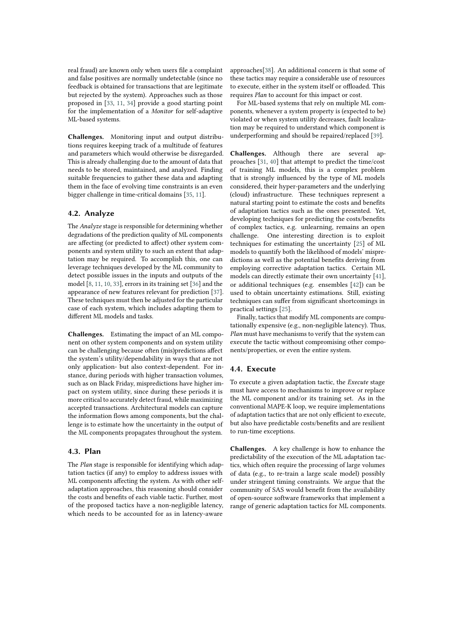real fraud) are known only when users file a complaint and false positives are normally undetectable (since no feedback is obtained for transactions that are legitimate but rejected by the system). Approaches such as those proposed in [\[33,](#page-7-17) [11,](#page-6-10) [34\]](#page-7-18) provide a good starting point for the implementation of a *Monitor* for self-adaptive ML-based systems.

**Challenges.** Monitoring input and output distributions requires keeping track of a multitude of features and parameters which would otherwise be disregarded. This is already challenging due to the amount of data that needs to be stored, maintained, and analyzed. Finding suitable frequencies to gather these data and adapting them in the face of evolving time constraints is an even bigger challenge in time-critical domains [\[35,](#page-7-19) [11\]](#page-6-10).

## **4.2. Analyze**

The *Analyze* stage is responsible for determining whether degradations of the prediction quality of ML components are affecting (or predicted to affect) other system components and system utility to such an extent that adaptation may be required. To accomplish this, one can leverage techniques developed by the ML community to detect possible issues in the inputs and outputs of the model [\[8,](#page-6-7) [11,](#page-6-10) [10,](#page-6-9) [33\]](#page-7-17), errors in its training set [\[36\]](#page-7-20) and the appearance of new features relevant for prediction [\[37\]](#page-7-21). These techniques must then be adjusted for the particular case of each system, which includes adapting them to different ML models and tasks.

**Challenges.** Estimating the impact of an ML component on other system components and on system utility can be challenging because often (mis)predictions affect the system's utility/dependability in ways that are not only application- but also context-dependent. For instance, during periods with higher transaction volumes, such as on Black Friday, mispredictions have higher impact on system utility, since during these periods it is more critical to accurately detect fraud, while maximizing accepted transactions. Architectural models can capture the information flows among components, but the challenge is to estimate how the uncertainty in the output of the ML components propagates throughout the system.

### **4.3. Plan**

The *Plan* stage is responsible for identifying which adaptation tactics (if any) to employ to address issues with ML components affecting the system. As with other selfadaptation approaches, this reasoning should consider the costs and benefits of each viable tactic. Further, most of the proposed tactics have a non-negligible latency, which needs to be accounted for as in latency-aware

approaches[\[38\]](#page-7-22). An additional concern is that some of these tactics may require a considerable use of resources to execute, either in the system itself or offloaded. This requires *Plan* to account for this impact or cost.

For ML-based systems that rely on multiple ML components, whenever a system property is (expected to be) violated or when system utility decreases, fault localization may be required to understand which component is underperforming and should be repaired/replaced [\[39\]](#page-7-23).

**Challenges.** Although there are several approaches [\[31,](#page-7-15) [40\]](#page-7-24) that attempt to predict the time/cost of training ML models, this is a complex problem that is strongly influenced by the type of ML models considered, their hyper-parameters and the underlying (cloud) infrastructure. These techniques represent a natural starting point to estimate the costs and benefits of adaptation tactics such as the ones presented. Yet, developing techniques for predicting the costs/benefits of complex tactics, e.g. unlearning, remains an open challenge. One interesting direction is to exploit techniques for estimating the uncertainty [\[25\]](#page-7-9) of ML models to quantify both the likelihood of models' mispredictions as well as the potential benefits deriving from employing corrective adaptation tactics. Certain ML models can directly estimate their own uncertainty [\[41\]](#page-7-25), or additional techniques (e.g. ensembles [\[42\]](#page-7-26)) can be used to obtain uncertainty estimations. Still, existing techniques can suffer from significant shortcomings in practical settings [\[25\]](#page-7-9).

Finally, tactics that modify ML components are computationally expensive (e.g., non-negligible latency). Thus, *Plan* must have mechanisms to verify that the system can execute the tactic without compromising other components/properties, or even the entire system.

#### **4.4. Execute**

To execute a given adaptation tactic, the *Execute* stage must have access to mechanisms to improve or replace the ML component and/or its training set. As in the conventional MAPE-K loop, we require implementations of adaptation tactics that are not only efficient to execute, but also have predictable costs/benefits and are resilient to run-time exceptions.

**Challenges.** A key challenge is how to enhance the predictability of the execution of the ML adaptation tactics, which often require the processing of large volumes of data (e.g., to re-train a large scale model) possibly under stringent timing constraints. We argue that the community of SAS would benefit from the availability of open-source software frameworks that implement a range of generic adaptation tactics for ML components.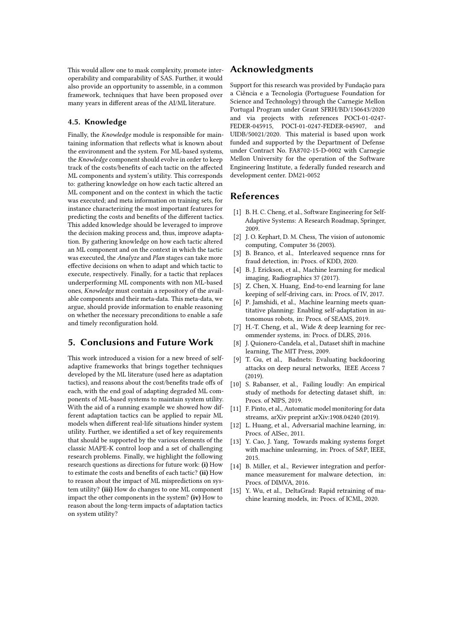This would allow one to mask complexity, promote interoperability and comparability of SAS. Further, it would also provide an opportunity to assemble, in a common framework, techniques that have been proposed over many years in different areas of the AI/ML literature.

### **4.5. Knowledge**

Finally, the *Knowledge* module is responsible for maintaining information that reflects what is known about the environment and the system. For ML-based systems, the *Knowledge* component should evolve in order to keep track of the costs/benefits of each tactic on the affected ML components and system's utility. This corresponds to: gathering knowledge on how each tactic altered an ML component and on the context in which the tactic was executed; and meta information on training sets, for instance characterizing the most important features for predicting the costs and benefits of the different tactics. This added knowledge should be leveraged to improve the decision making process and, thus, improve adaptation. By gathering knowledge on how each tactic altered an ML component and on the context in which the tactic was executed, the *Analyze* and *Plan* stages can take more effective decisions on when to adapt and which tactic to execute, respectively. Finally, for a tactic that replaces underperforming ML components with non ML-based ones, *Knowledge* must contain a repository of the available components and their meta-data. This meta-data, we argue, should provide information to enable reasoning on whether the necessary preconditions to enable a safe and timely reconfiguration hold.

## **5. Conclusions and Future Work**

This work introduced a vision for a new breed of selfadaptive frameworks that brings together techniques developed by the ML literature (used here as adaptation tactics), and reasons about the cost/benefits trade offs of each, with the end goal of adapting degraded ML components of ML-based systems to maintain system utility. With the aid of a running example we showed how different adaptation tactics can be applied to repair ML models when different real-life situations hinder system utility. Further, we identified a set of key requirements that should be supported by the various elements of the classic MAPE-K control loop and a set of challenging research problems. Finally, we highlight the following research questions as directions for future work: **(i)** How to estimate the costs and benefits of each tactic? **(ii)** How to reason about the impact of ML mispredictions on system utility? **(iii)** How do changes to one ML component impact the other components in the system? **(iv)** How to reason about the long-term impacts of adaptation tactics on system utility?

## **Acknowledgments**

Support for this research was provided by Fundação para a Ciência e a Tecnologia (Portuguese Foundation for Science and Technology) through the Carnegie Mellon Portugal Program under Grant SFRH/BD/150643/2020 and via projects with references POCI-01-0247- FEDER-045915, POCI-01-0247-FEDER-045907, and UIDB/50021/2020. This material is based upon work funded and supported by the Department of Defense under Contract No. FA8702-15-D-0002 with Carnegie Mellon University for the operation of the Software Engineering Institute, a federally funded research and development center. DM21-0052

## **References**

- <span id="page-6-0"></span>[1] B. H. C. Cheng, et al., Software Engineering for Self-Adaptive Systems: A Research Roadmap, Springer, 2009.
- <span id="page-6-1"></span>[2] J. O. Kephart, D. M. Chess, The vision of autonomic computing, Computer 36 (2003).
- <span id="page-6-2"></span>[3] B. Branco, et al., Interleaved sequence rnns for fraud detection, in: Procs. of KDD, 2020.
- <span id="page-6-3"></span>[4] B. J. Erickson, et al., Machine learning for medical imaging, Radiographics 37 (2017).
- <span id="page-6-4"></span>[5] Z. Chen, X. Huang, End-to-end learning for lane keeping of self-driving cars, in: Procs. of IV, 2017.
- <span id="page-6-5"></span>[6] P. Jamshidi, et al., Machine learning meets quantitative planning: Enabling self-adaptation in autonomous robots, in: Procs. of SEAMS, 2019.
- <span id="page-6-6"></span>[7] H.-T. Cheng, et al., Wide & deep learning for recommender systems, in: Procs. of DLRS, 2016.
- <span id="page-6-7"></span>[8] J. Quionero-Candela, et al., Dataset shift in machine learning, The MIT Press, 2009.
- <span id="page-6-8"></span>[9] T. Gu, et al., Badnets: Evaluating backdooring attacks on deep neural networks, IEEE Access 7 (2019).
- <span id="page-6-9"></span>[10] S. Rabanser, et al., Failing loudly: An empirical study of methods for detecting dataset shift, in: Procs. of NIPS, 2019.
- <span id="page-6-10"></span>[11] F. Pinto, et al., Automatic model monitoring for data streams, arXiv preprint arXiv:1908.04240 (2019).
- <span id="page-6-11"></span>[12] L. Huang, et al., Adversarial machine learning, in: Procs. of AISec, 2011.
- <span id="page-6-12"></span>[13] Y. Cao, J. Yang, Towards making systems forget with machine unlearning, in: Procs. of S&P, IEEE, 2015.
- <span id="page-6-13"></span>[14] B. Miller, et al., Reviewer integration and performance measurement for malware detection, in: Procs. of DIMVA, 2016.
- <span id="page-6-14"></span>[15] Y. Wu, et al., DeltaGrad: Rapid retraining of machine learning models, in: Procs. of ICML, 2020.